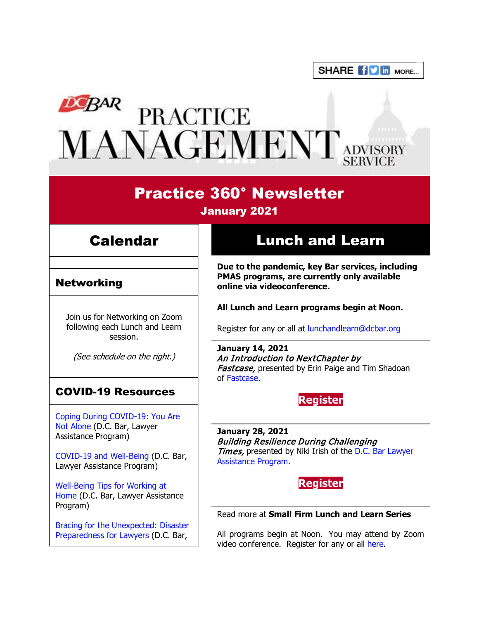SHARE **for in** More...

# DEBAR PRACTICE<br>MANAGEMENT ADVISORY

## Practice 360° Newsletter

January 2021

# Calendar

## Networking

Join us for Networking on Zoom following each Lunch and Learn session.

(See schedule on the right.)

## COVID-19 Resources

[Coping During COVID-19: You Are](https://www.dcbar.org/news-events/news/coping-during-covid-19-you-are-not-alone?utm_source=Real%20Magnet&utm_medium=INSERT_CHANNEL&utm_campaign=INSERT_LINK_ID)  [Not Alone](https://www.dcbar.org/news-events/news/coping-during-covid-19-you-are-not-alone?utm_source=Real%20Magnet&utm_medium=INSERT_CHANNEL&utm_campaign=INSERT_LINK_ID) (D.C. Bar, Lawyer Assistance Program)

[COVID-19 and Well-Being](https://dcbarcms-uat3.i3digital.com/DCBar/i3Base/DCBar/For%20Lawyers/Lawyer%20Assistance%20Program/PDFs/covid-19-and-well-being.pdf) (D.C. Bar, Lawyer Assistance Program)

[Well-Being Tips for Working at](https://dcbarcms-uat3.i3digital.com/DCBar/i3Base/DCBar/For%20Lawyers/Lawyer%20Assistance%20Program/PDFs/Wellness-Tips-Working-From-Home.pdf)  [Home](https://dcbarcms-uat3.i3digital.com/DCBar/i3Base/DCBar/For%20Lawyers/Lawyer%20Assistance%20Program/PDFs/Wellness-Tips-Working-From-Home.pdf) (D.C. Bar, Lawyer Assistance Program)

[Bracing for the Unexpected: Disaster](https://www.dcbar.org/news-events/news/bracing-for-the-unexpected-disaster-preparedness-f?utm_source=Real%20Magnet&utm_medium=INSERT_CHANNEL&utm_campaign=INSERT_LINK_ID)  [Preparedness for Lawyers](https://www.dcbar.org/news-events/news/bracing-for-the-unexpected-disaster-preparedness-f?utm_source=Real%20Magnet&utm_medium=INSERT_CHANNEL&utm_campaign=INSERT_LINK_ID) (D.C. Bar,

# Lunch and Learn

**Due to the pandemic, key Bar services, including PMAS programs, are currently only available online via videoconference.**

#### **All Lunch and Learn programs begin at Noon.**

Register for any or all at [lunchandlearn@dcbar.org](mailto:lunchandlearn@dcbar.org?subject=Lunch%20and%20Learn)

**January 14, 2021** An Introduction to NextChapter by Fastcase, presented by Erin Paige and Tim Shadoan of [Fastcase.](https://www.fastcase.com/)

## **[Register](https://join.dcbar.org/eWeb/DynamicPage.aspx?site=dcbar&webcode=EventInfo&Reg_evt_key=e3bbabca-5264-474d-b806-a20b107ee4f3&RegPath=EventRegFees&FreeEvent=&Event=Lunch%20and%20Learn:%20An%20Introduction%20to%20NextChapter%20by%20Fastcase&FundraisingEvent=&evt_guest_limit=9999&utm_source=Real%20Magnet&utm_medium=INSERT_CHANNEL&utm_campaign=INSERT_LINK_ID)**

**January 28, 2021** Building Resilience During Challenging Times, presented by Niki Irish of the D.C. Bar Lawyer [Assistance Program.](https://www.dcbar.org/for-lawyers/lawyer-assistance-program?utm_source=Real%20Magnet&utm_medium=INSERT_CHANNEL&utm_campaign=INSERT_LINK_ID)

**[Register](https://join.dcbar.org/eWeb/DynamicPage.aspx?site=dcbar&webcode=EventInfo&Reg_evt_key=938b283e-2ed1-4b79-b871-13f63c086a61&RegPath=EventRegFees&FreeEvent=&Event=Lunch%20and%20Learn:%20Building%20Resilience%20During%20Challenging%20Times&FundraisingEvent=&evt_guest_limit=9999&utm_source=Real%20Magnet&utm_medium=INSERT_CHANNEL&utm_campaign=INSERT_LINK_ID)**

#### Read more at **[Small Firm Lunch](https://www.dcbar.org/for-lawyers/practice-management-advisory-service/courses-and-trainings/small-firm-lunch-and-learn-series?utm_source=Real%20Magnet&utm_medium=INSERT_CHANNEL&utm_campaign=INSERT_LINK_ID) and Learn Series**

All programs begin at Noon. You may attend by Zoom video conference. Register for any or all [here.](https://www.dcbar.org/for-lawyers/practice-management-advisory-service/courses-and-trainings/small-firm-lunch-and-learn-series?utm_source=Real%20Magnet&utm_medium=INSERT_CHANNEL&utm_campaign=INSERT_LINK_ID)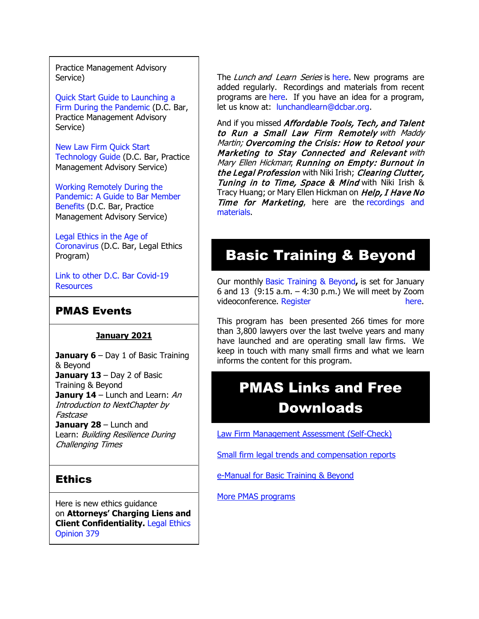Practice Management Advisory Service)

[Quick Start Guide to Launching a](https://www.dcbar.org/getmedia/d28b7c4b-3dcb-419e-828d-fdc2340588f9/Career-disruption-setting-up-a-law-firm-quickly-resources?utm_source=Real%20Magnet&utm_medium=INSERT_CHANNEL&utm_campaign=INSERT_LINK_ID)  [Firm During the Pandemic](https://www.dcbar.org/getmedia/d28b7c4b-3dcb-419e-828d-fdc2340588f9/Career-disruption-setting-up-a-law-firm-quickly-resources?utm_source=Real%20Magnet&utm_medium=INSERT_CHANNEL&utm_campaign=INSERT_LINK_ID) (D.C. Bar, Practice Management Advisory Service)

[New Law Firm Quick Start](https://www.dcbar.org/getmedia/34a3addd-9a13-4fc7-8e68-fbc2be8b50e0/Quick-start-Tech-Guide-final?utm_source=Real%20Magnet&utm_medium=INSERT_CHANNEL&utm_campaign=INSERT_LINK_ID)  [Technology Guide](https://www.dcbar.org/getmedia/34a3addd-9a13-4fc7-8e68-fbc2be8b50e0/Quick-start-Tech-Guide-final?utm_source=Real%20Magnet&utm_medium=INSERT_CHANNEL&utm_campaign=INSERT_LINK_ID) (D.C. Bar, Practice Management Advisory Service)

[Working Remotely During the](https://www.dcbar.org/news-events/news/working-remotely-during-the-pandemic-a-guide-to-ba?utm_source=Real%20Magnet&utm_medium=INSERT_CHANNEL&utm_campaign=INSERT_LINK_ID)  [Pandemic: A Guide to Bar Member](https://www.dcbar.org/news-events/news/working-remotely-during-the-pandemic-a-guide-to-ba?utm_source=Real%20Magnet&utm_medium=INSERT_CHANNEL&utm_campaign=INSERT_LINK_ID)  [Benefits](https://www.dcbar.org/news-events/news/working-remotely-during-the-pandemic-a-guide-to-ba?utm_source=Real%20Magnet&utm_medium=INSERT_CHANNEL&utm_campaign=INSERT_LINK_ID) (D.C. Bar, Practice Management Advisory Service)

[Legal Ethics in the Age of](https://www.dcbar.org/news-events/news/legal-ethics-in-the-age-of-the-coronavirus?utm_source=Real%20Magnet&utm_medium=INSERT_CHANNEL&utm_campaign=INSERT_LINK_ID)  [Coronavirus](https://www.dcbar.org/news-events/news/legal-ethics-in-the-age-of-the-coronavirus?utm_source=Real%20Magnet&utm_medium=INSERT_CHANNEL&utm_campaign=INSERT_LINK_ID) (D.C. Bar, Legal Ethics Program)

[Link to other D.C. Bar Covid-19](https://www.dcbar.org/for-lawyers/membership/covid-19-resources?utm_source=Real%20Magnet&utm_medium=INSERT_CHANNEL&utm_campaign=INSERT_LINK_ID)  **[Resources](https://www.dcbar.org/for-lawyers/membership/covid-19-resources?utm_source=Real%20Magnet&utm_medium=INSERT_CHANNEL&utm_campaign=INSERT_LINK_ID)** 

## PMAS Events

#### **January 2021**

**January 6** – Day 1 of Basic Training & Beyond **January 13** – Day 2 of Basic Training & Beyond **Janury 14** – Lunch and Learn: An Introduction to NextChapter by Fastcase **January 28** – Lunch and Learn: Building Resilience During Challenging Times

## **Ethics**

Here is new ethics guidance on **Attorneys' Charging Liens and Client Confidentiality.** [Legal Ethics](https://www.dcbar.org/for-lawyers/legal-ethics/ethics-opinions-(1)?utm_source=Real%20Magnet&utm_medium=INSERT_CHANNEL&utm_campaign=INSERT_LINK_ID)  [Opinion 379](https://www.dcbar.org/for-lawyers/legal-ethics/ethics-opinions-(1)?utm_source=Real%20Magnet&utm_medium=INSERT_CHANNEL&utm_campaign=INSERT_LINK_ID)

The Lunch and Learn Series is [here.](https://www.dcbar.org/for-lawyers/practice-management-advisory-service/courses-and-trainings/small-firm-lunch-and-learn-series?utm_source=Real%20Magnet&utm_medium=INSERT_CHANNEL&utm_campaign=INSERT_LINK_ID) New programs are added regularly. Recordings and materials from recent programs are [here.](https://www.dcbar.org/for-lawyers/practice-management-advisory-service/courses-and-trainings/small-firm-lunch-and-learn-series/past-lunch-and-learn-programs?utm_source=Real%20Magnet&utm_medium=INSERT_CHANNEL&utm_campaign=INSERT_LINK_ID) If you have an idea for a program, let us know at: [lunchandlearn@dcbar.org.](mailto:lunchandlearn@dcbar.org)

And if you missed Affordable Tools, Tech, and Talent to Run a Small Law Firm Remotely with Maddy Martin; Overcoming the Crisis: How to Retool your Marketing to Stay Connected and Relevant with Mary Ellen Hickman; Running on Empty: Burnout in the Legal Profession with Niki Irish; Clearing Clutter, Tuning in to Time, Space & Mind with Niki Irish & Tracy Huang; or Mary Ellen Hickman on Help, I Have No Time for Marketing, here are the recordings and [materials.](https://www.dcbar.org/for-lawyers/practice-management-advisory-service/courses-and-trainings/small-firm-lunch-and-learn-series/past-lunch-and-learn-programs?utm_source=Real%20Magnet&utm_medium=INSERT_CHANNEL&utm_campaign=INSERT_LINK_ID)

# Basic Training & Beyond

Our monthly [Basic Training & Beyond](http://www.mmsend31.com/link.cfm?r=zvkjaWqFFUTRz65Avl-Ftw%7E%7E&pe=c3ph7NU-Re1l6uj-xoZC_Nqnf2HGTrpIRRfl_qZmlgZN_I06rShTZ-AlGs0Wp7CGgKUozsdU2izsioLhmXaRbg%7E%7E&t=prXb-jowJMuBRf73r4YKRA%7E%7E)**,** is set for January 6 and 13 (9:15 a.m. – 4:30 p.m.) We will meet by Zoom videoconference. [Register here.](http://www.mmsend31.com/link.cfm?r=zvkjaWqFFUTRz65Avl-Ftw%7E%7E&pe=BxjSlIjTK_3i3Os02s37pODjnSEaSaIBfLm0UarKy-K07-G29KY0F7SoVNdKQgSYIVrXVvuyFBcMiPY5X35JOA%7E%7E&t=prXb-jowJMuBRf73r4YKRA%7E%7E)

This program has been presented 266 times for more than 3,800 lawyers over the last twelve years and many have launched and are operating small law firms. We keep in touch with many small firms and what we learn informs the content for this program.

# PMAS Links and Free Downloads

[Law Firm Management Assessment \(Self-Check\)](https://www.dcbar.org/for-lawyers/practice-management-advisory-service/practice-tips-and-compliance/self-check?utm_source=Real%20Magnet&utm_medium=INSERT_CHANNEL&utm_campaign=INSERT_LINK_ID)

[Small firm legal trends and compensation reports](https://www.dcbar.org/for-lawyers/practice-management-advisory-service/courses-and-trainings/basic-training-beyond/basic-training-beyond-supplements?utm_source=Real%20Magnet&utm_medium=INSERT_CHANNEL&utm_campaign=INSERT_LINK_ID)

[e-Manual for Basic Training & Beyond](https://documentcloud.adobe.com/link/review?uri=urn:aaid:scds:US:2182dc5f-4a8c-435d-bb76-280eddc57a6d)

[More PMAS programs](https://www.dcbar.org/for-lawyers/practice-management-advisory-service/courses-and-trainings?utm_source=Real%20Magnet&utm_medium=INSERT_CHANNEL&utm_campaign=INSERT_LINK_ID)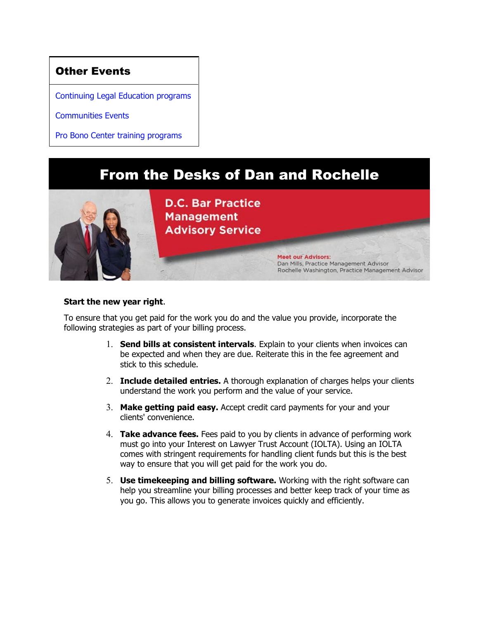## Other Events

[Continuing Legal Education programs](https://join.dcbar.org/eweb/DynamicPage.aspx?Site=DCBar&WebKey=cbe606bc-88d4-4d37-872c-f48d412a59e5&evt_etc_key=7aaf572d-f662-422f-9fe7-0ae3f4b705be&utm_source=Real%20Magnet&utm_medium=INSERT_CHANNEL&utm_campaign=INSERT_LINK_ID)

[Communities Events](https://join.dcbar.org/eweb/DynamicPage.aspx?site=dcbar&webcode=EventList&utm_source=Real%20Magnet&utm_medium=INSERT_CHANNEL&utm_campaign=INSERT_LINK_ID)

[Pro Bono Center training programs](https://www.dcbar.org/pro-bono/resources-and-training/pro-bono-center-training-program?utm_source=Real%20Magnet&utm_medium=INSERT_CHANNEL&utm_campaign=INSERT_LINK_ID)

# From the Desks of Dan and Rochelle



#### **Start the new year right**.

To ensure that you get paid for the work you do and the value you provide, incorporate the following strategies as part of your billing process.

- 1. **Send bills at consistent intervals**. Explain to your clients when invoices can be expected and when they are due. Reiterate this in the fee agreement and stick to this schedule.
- 2. **Include detailed entries.** A thorough explanation of charges helps your clients understand the work you perform and the value of your service.
- 3. **Make getting paid easy.** Accept credit card payments for your and your clients' convenience.
- 4. **Take advance fees.** Fees paid to you by clients in advance of performing work must go into your Interest on Lawyer Trust Account (IOLTA). Using an IOLTA comes with stringent requirements for handling client funds but this is the best way to ensure that you will get paid for the work you do.
- 5. **Use timekeeping and billing software.** Working with the right software can help you streamline your billing processes and better keep track of your time as you go. This allows you to generate invoices quickly and efficiently.